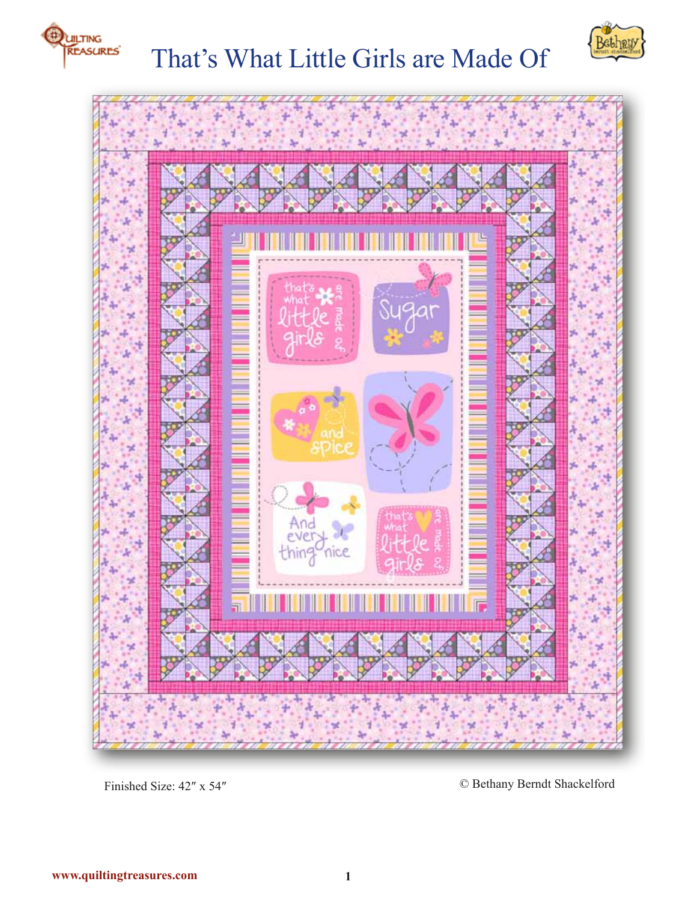

# That's What Little Girls are Made Of





Finished Size: 42″ x 54″ © Bethany Berndt Shackelford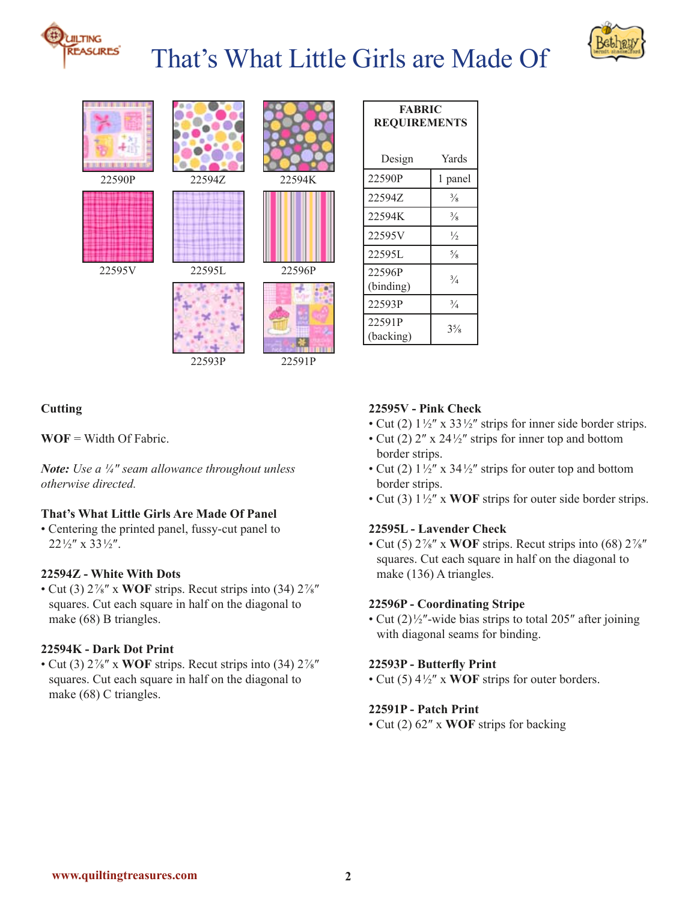

# That's What Little Girls are Made Of





| <b>FABRIC</b><br><b>REQUIREMENTS</b> |                |
|--------------------------------------|----------------|
| Design                               | Yards          |
| 22590P                               | 1 panel        |
| 22594Z                               | $\frac{3}{8}$  |
| 22594K                               | $\frac{3}{8}$  |
| 22595V                               | $\frac{1}{2}$  |
| 22595L                               | $\frac{5}{8}$  |
| 22596P<br>(binding)                  | $^{3}/_{4}$    |
| 22593P                               | $^{3}/_{4}$    |
| 22591P<br>(backing)                  | $3\frac{5}{8}$ |

# **Cutting**

**WOF** = Width Of Fabric.

*Note: Use a ¼″ seam allowance throughout unless otherwise directed.*

# **That's What Little Girls Are Made Of Panel**

• Centering the printed panel, fussy-cut panel to  $22\frac{1}{2}$ " x 33 $\frac{1}{2}$ ".

### **22594Z - White With Dots**

• Cut (3) 2 ⅞″ x **WOF** strips. Recut strips into (34) 2 ⅞″ squares. Cut each square in half on the diagonal to make (68) B triangles.

### **22594K - Dark Dot Print**

• Cut (3) 2 ⅞″ x **WOF** strips. Recut strips into (34) 2 ⅞″ squares. Cut each square in half on the diagonal to make (68) C triangles.

#### **22595V - Pink Check**

- Cut (2)  $1\frac{1}{2}$ " x 33 $\frac{1}{2}$ " strips for inner side border strips.
- Cut (2)  $2''$  x  $24\frac{1}{2}$  strips for inner top and bottom border strips.
- Cut (2)  $1\frac{1}{2}$ " x 34 $\frac{1}{2}$ " strips for outer top and bottom border strips.
- Cut (3)  $1\frac{1}{2}$ " x **WOF** strips for outer side border strips.

## **22595L - Lavender Check**

• Cut (5)  $2\frac{7}{8}$ " x WOF strips. Recut strips into (68)  $2\frac{7}{8}$ " squares. Cut each square in half on the diagonal to make (136) A triangles.

#### **22596P - Coordinating Stripe**

• Cut  $(2)$ <sup>1/2</sup>″-wide bias strips to total 205″ after joining with diagonal seams for binding.

## **22593P - Butterfly Print**

• Cut (5)  $4\frac{1}{2}$ " x **WOF** strips for outer borders.

## **22591P - Patch Print**

• Cut (2) 62″ x **WOF** strips for backing